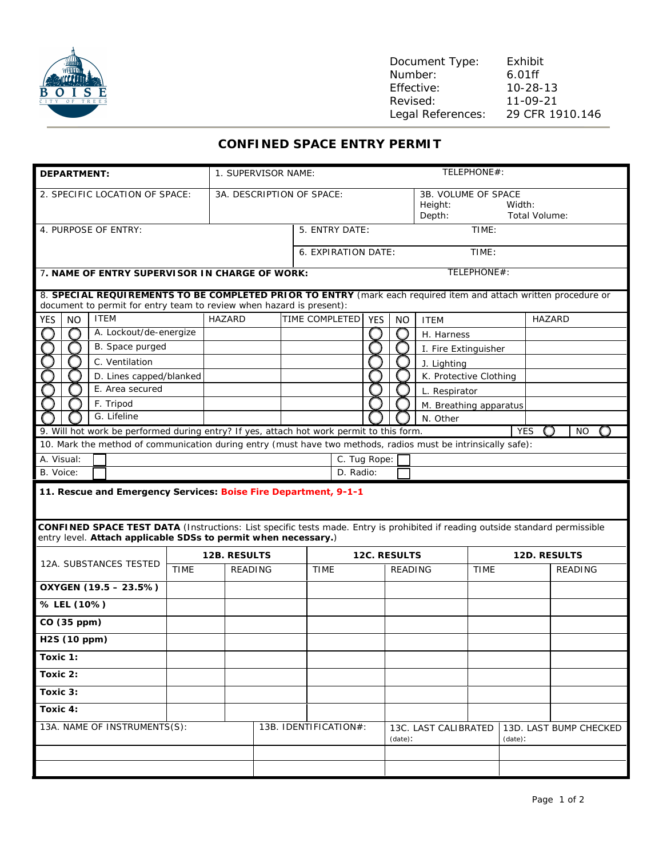

Document Type: Exhibit Number: 6.01ff Effective: 10-28-13 Revised: Legal References: 11-09-21 29 CFR 1910.146

## **CONFINED SPACE ENTRY PERMIT**

| <b>DEPARTMENT:</b>                                                                                                                                                                                                                   |                           | 1. SUPERVISOR NAME: |  |                                     |                |                                                                     | TELEPHONE#:                        |  |                        |  |  |  |
|--------------------------------------------------------------------------------------------------------------------------------------------------------------------------------------------------------------------------------------|---------------------------|---------------------|--|-------------------------------------|----------------|---------------------------------------------------------------------|------------------------------------|--|------------------------|--|--|--|
| 2. SPECIFIC LOCATION OF SPACE:                                                                                                                                                                                                       | 3A. DESCRIPTION OF SPACE: |                     |  |                                     |                | 3B. VOLUME OF SPACE<br>Height:<br>Width:<br>Total Volume:<br>Depth: |                                    |  |                        |  |  |  |
| 4. PURPOSE OF ENTRY:                                                                                                                                                                                                                 |                           |                     |  | 5. ENTRY DATE:                      |                |                                                                     | TIME:                              |  |                        |  |  |  |
|                                                                                                                                                                                                                                      |                           |                     |  | TIME:<br>6. EXPIRATION DATE:        |                |                                                                     |                                    |  |                        |  |  |  |
| 7. NAME OF ENTRY SUPERVISOR IN CHARGE OF WORK:                                                                                                                                                                                       |                           | TELEPHONE#:         |  |                                     |                |                                                                     |                                    |  |                        |  |  |  |
| 8. SPECIAL REQUIREMENTS TO BE COMPLETED PRIOR TO ENTRY (mark each required item and attach written procedure or<br>document to permit for entry team to review when hazard is present):                                              |                           |                     |  |                                     |                |                                                                     |                                    |  |                        |  |  |  |
| <b>ITEM</b><br>YES<br><b>NO</b>                                                                                                                                                                                                      |                           | <b>HAZARD</b>       |  | TIME COMPLETED<br><b>YES</b>        |                | <b>NO</b>                                                           | <b>ITEM</b>                        |  | <b>HAZARD</b>          |  |  |  |
| A. Lockout/de-energize<br>$\left( \begin{array}{c} \end{array} \right)$                                                                                                                                                              |                           |                     |  |                                     |                |                                                                     | H. Harness                         |  |                        |  |  |  |
| B. Space purged                                                                                                                                                                                                                      |                           |                     |  |                                     |                |                                                                     | I. Fire Extinguisher               |  |                        |  |  |  |
| C. Ventilation                                                                                                                                                                                                                       |                           |                     |  |                                     |                |                                                                     | J. Lighting                        |  |                        |  |  |  |
| D. Lines capped/blanked                                                                                                                                                                                                              |                           |                     |  |                                     |                |                                                                     | K. Protective Clothing             |  |                        |  |  |  |
| E. Area secured                                                                                                                                                                                                                      |                           |                     |  |                                     |                |                                                                     | L. Respirator                      |  |                        |  |  |  |
| F. Tripod                                                                                                                                                                                                                            |                           |                     |  |                                     |                |                                                                     | M. Breathing apparatus             |  |                        |  |  |  |
| G. Lifeline                                                                                                                                                                                                                          |                           |                     |  |                                     |                |                                                                     | N. Other                           |  |                        |  |  |  |
| <b>YES</b><br>9. Will hot work be performed during entry? If yes, attach hot work permit to this form.<br><b>NO</b><br>10. Mark the method of communication during entry (must have two methods, radios must be intrinsically safe): |                           |                     |  |                                     |                |                                                                     |                                    |  |                        |  |  |  |
| A. Visual:                                                                                                                                                                                                                           |                           |                     |  | C. Tug Rope:                        |                |                                                                     |                                    |  |                        |  |  |  |
| B. Voice:                                                                                                                                                                                                                            |                           |                     |  | D. Radio:                           |                |                                                                     |                                    |  |                        |  |  |  |
|                                                                                                                                                                                                                                      |                           |                     |  |                                     |                |                                                                     |                                    |  |                        |  |  |  |
| 11. Rescue and Emergency Services: Boise Fire Department, 9-1-1                                                                                                                                                                      |                           |                     |  |                                     |                |                                                                     |                                    |  |                        |  |  |  |
| <b>CONFINED SPACE TEST DATA</b> (Instructions: List specific tests made. Entry is prohibited if reading outside standard permissible<br>entry level. Attach applicable SDSs to permit when necessary.)                               |                           |                     |  |                                     |                |                                                                     |                                    |  |                        |  |  |  |
| 12A. SUBSTANCES TESTED                                                                                                                                                                                                               |                           | 12B. RESULTS        |  | 12C. RESULTS                        |                |                                                                     |                                    |  | 12D. RESULTS           |  |  |  |
|                                                                                                                                                                                                                                      | <b>TIME</b>               | <b>READING</b>      |  | <b>TIME</b>                         | <b>READING</b> |                                                                     | <b>TIME</b>                        |  | <b>READING</b>         |  |  |  |
| OXYGEN (19.5 - 23.5%)                                                                                                                                                                                                                |                           |                     |  |                                     |                |                                                                     |                                    |  |                        |  |  |  |
| % LEL (10%)                                                                                                                                                                                                                          |                           |                     |  |                                     |                |                                                                     |                                    |  |                        |  |  |  |
| CO (35 ppm)                                                                                                                                                                                                                          |                           |                     |  |                                     |                |                                                                     |                                    |  |                        |  |  |  |
| H2S (10 ppm)                                                                                                                                                                                                                         |                           |                     |  |                                     |                |                                                                     |                                    |  |                        |  |  |  |
| Toxic 1:                                                                                                                                                                                                                             |                           |                     |  |                                     |                |                                                                     |                                    |  |                        |  |  |  |
| Toxic 2:                                                                                                                                                                                                                             |                           |                     |  |                                     |                |                                                                     |                                    |  |                        |  |  |  |
| Toxic 3:                                                                                                                                                                                                                             |                           |                     |  |                                     |                |                                                                     |                                    |  |                        |  |  |  |
| Toxic 4:                                                                                                                                                                                                                             |                           |                     |  |                                     |                |                                                                     |                                    |  |                        |  |  |  |
| 13A. NAME OF INSTRUMENTS(S):                                                                                                                                                                                                         |                           |                     |  | 13B. IDENTIFICATION#:<br>$(data)$ : |                |                                                                     | 13C. LAST CALIBRATED<br>$(data)$ : |  | 13D. LAST BUMP CHECKED |  |  |  |
|                                                                                                                                                                                                                                      |                           |                     |  |                                     |                |                                                                     |                                    |  |                        |  |  |  |
|                                                                                                                                                                                                                                      |                           |                     |  |                                     |                |                                                                     |                                    |  |                        |  |  |  |